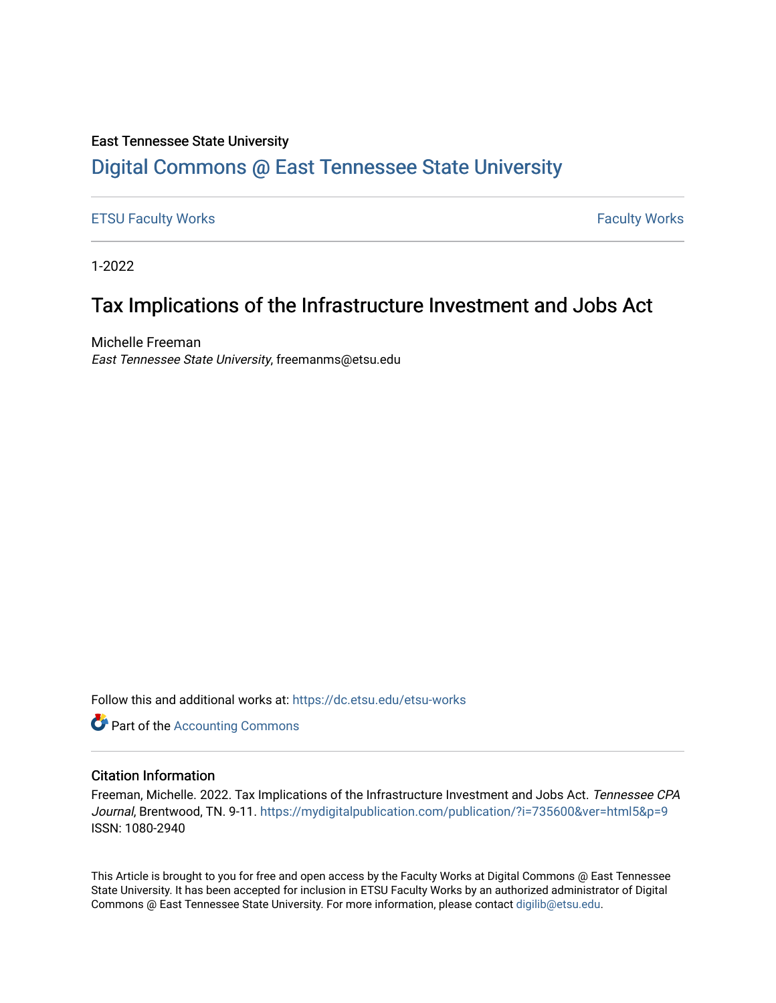#### East Tennessee State University

# [Digital Commons @ East Tennessee State University](https://dc.etsu.edu/)

#### [ETSU Faculty Works](https://dc.etsu.edu/etsu-works) **Faculty Works** [Faculty Works](https://dc.etsu.edu/faculty-works) **Faculty Works**

1-2022

# Tax Implications of the Infrastructure Investment and Jobs Act

Michelle Freeman East Tennessee State University, freemanms@etsu.edu

Follow this and additional works at: [https://dc.etsu.edu/etsu-works](https://dc.etsu.edu/etsu-works?utm_source=dc.etsu.edu%2Fetsu-works%2F9020&utm_medium=PDF&utm_campaign=PDFCoverPages) 

**Part of the [Accounting Commons](http://network.bepress.com/hgg/discipline/625?utm_source=dc.etsu.edu%2Fetsu-works%2F9020&utm_medium=PDF&utm_campaign=PDFCoverPages)** 

#### Citation Information

Freeman, Michelle. 2022. Tax Implications of the Infrastructure Investment and Jobs Act. Tennessee CPA Journal, Brentwood, TN. 9-11.<https://mydigitalpublication.com/publication/?i=735600&ver=html5&p=9> ISSN: 1080-2940

This Article is brought to you for free and open access by the Faculty Works at Digital Commons @ East Tennessee State University. It has been accepted for inclusion in ETSU Faculty Works by an authorized administrator of Digital Commons @ East Tennessee State University. For more information, please contact [digilib@etsu.edu.](mailto:digilib@etsu.edu)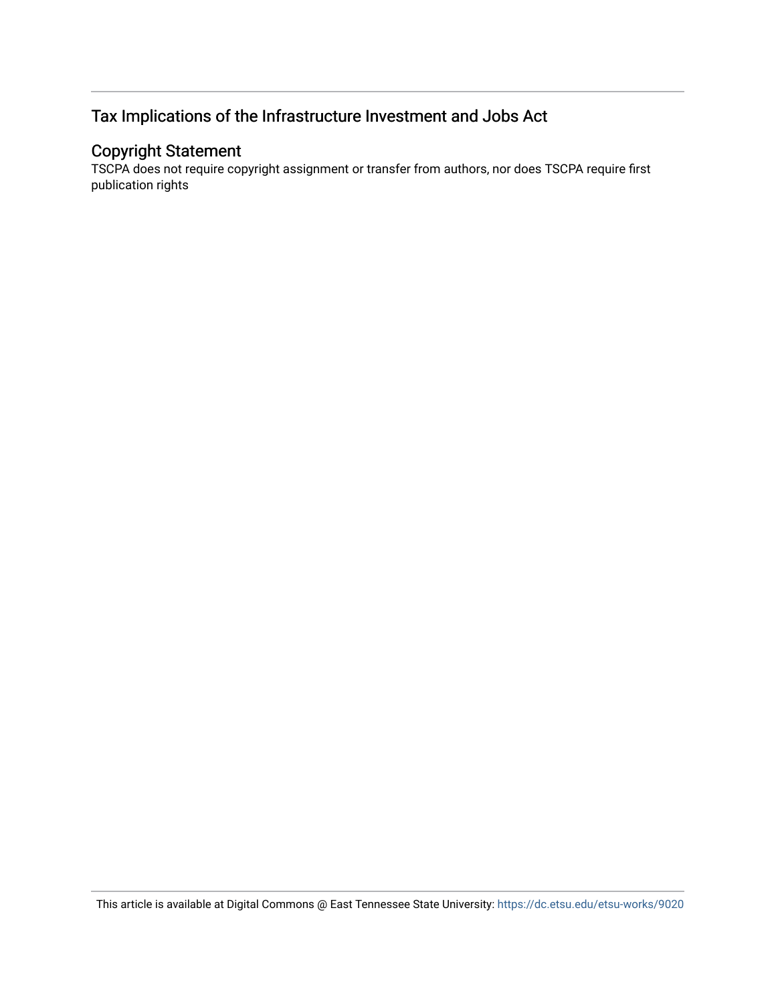## Tax Implications of the Infrastructure Investment and Jobs Act

## Copyright Statement

TSCPA does not require copyright assignment or transfer from authors, nor does TSCPA require first publication rights

This article is available at Digital Commons @ East Tennessee State University: <https://dc.etsu.edu/etsu-works/9020>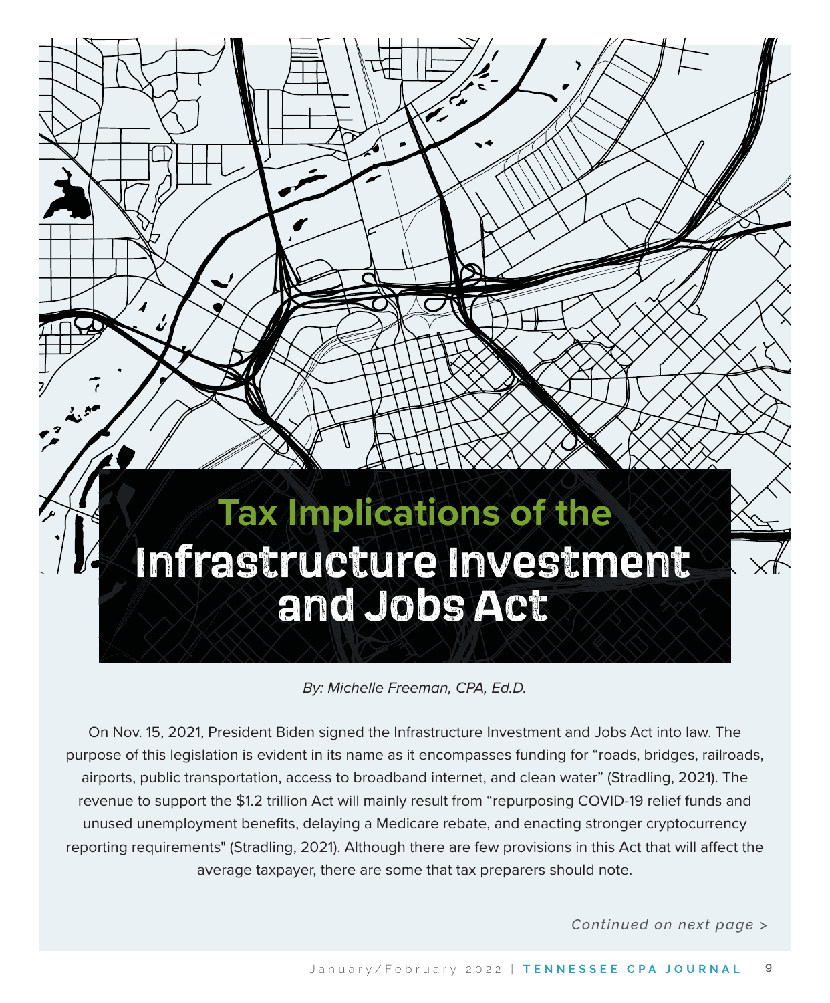# **Tax Implications of the Infrastructure Investment and Jobs Act**

By: Michelle Freeman, CPA, Ed.D.

On Nov. 15, 2021, President Biden signed the Infrastructure Investment and Jobs Act into law. The purpose of this legislation is evident in its name as it encompasses funding for "roads, bridges, railroads, airports, public transportation, access to broadband internet, and clean water" (Stradling, 2021). The revenue to support the \$1.2 trillion Act will mainly result from "repurposing COVID-19 relief funds and unused unemployment benefits, delaying a Medicare rebate, and enacting stronger cryptocurrency reporting requirements" (Stradling, 2021). Although there are few provisions in this Act that will affect the average taxpayer, there are some that tax preparers should note.

*Continued on next page >*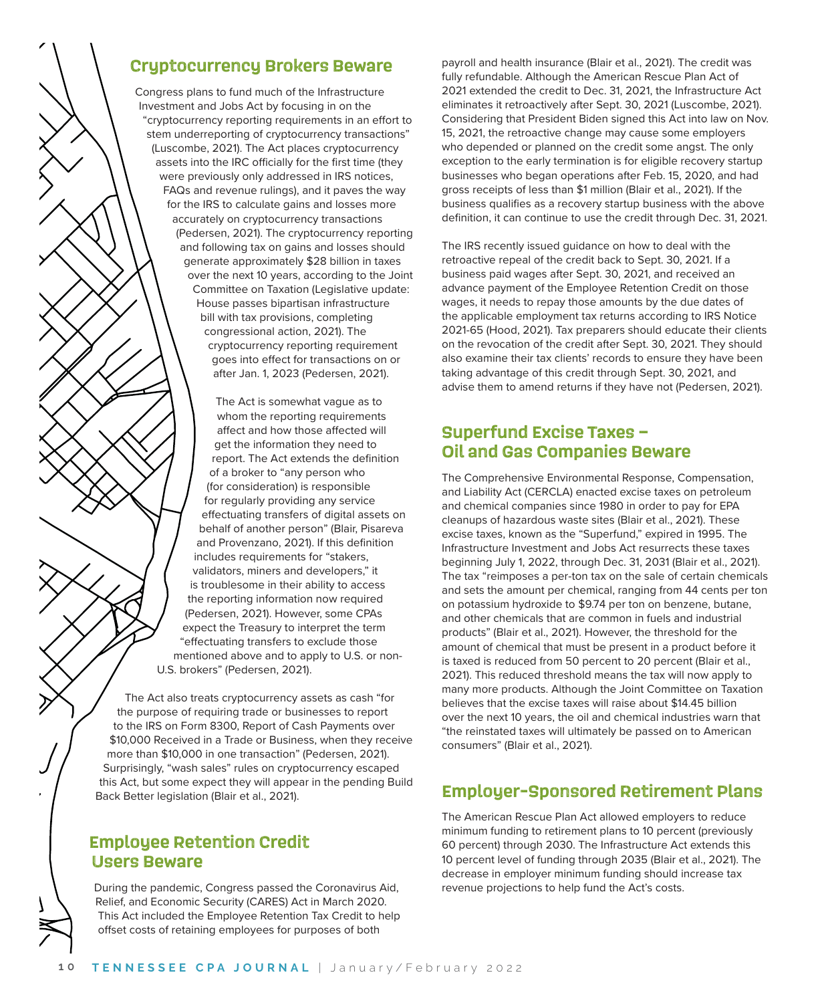## **Cryptocurrency Brokers Beware**

Congress plans to fund much of the Infrastructure Investment and Jobs Act by focusing in on the "cryptocurrency reporting requirements in an effort to stem underreporting of cryptocurrency transactions" (Luscombe, 2021). The Act places cryptocurrency assets into the IRC officially for the first time (they were previously only addressed in IRS notices, FAQs and revenue rulings), and it paves the way for the IRS to calculate gains and losses more accurately on cryptocurrency transactions (Pedersen, 2021). The cryptocurrency reporting and following tax on gains and losses should generate approximately \$28 billion in taxes over the next 10 years, according to the Joint Committee on Taxation (Legislative update: House passes bipartisan infrastructure bill with tax provisions, completing congressional action, 2021). The cryptocurrency reporting requirement goes into effect for transactions on or after Jan. 1, 2023 (Pedersen, 2021).

The Act is somewhat vague as to whom the reporting requirements affect and how those affected will get the information they need to report. The Act extends the definition of a broker to "any person who (for consideration) is responsible for regularly providing any service effectuating transfers of digital assets on behalf of another person" (Blair, Pisareva and Provenzano, 2021). If this definition includes requirements for "stakers, validators, miners and developers," it is troublesome in their ability to access the reporting information now required (Pedersen, 2021). However, some CPAs expect the Treasury to interpret the term "effectuating transfers to exclude those mentioned above and to apply to U.S. or non-U.S. brokers" (Pedersen, 2021).

The Act also treats cryptocurrency assets as cash "for the purpose of requiring trade or businesses to report to the IRS on Form 8300, Report of Cash Payments over \$10,000 Received in a Trade or Business, when they receive more than \$10,000 in one transaction" (Pedersen, 2021). Surprisingly, "wash sales" rules on cryptocurrency escaped this Act, but some expect they will appear in the pending Build Back Better legislation (Blair et al., 2021).

#### **Employee Retention Credit Users Beware**

During the pandemic, Congress passed the Coronavirus Aid, Relief, and Economic Security (CARES) Act in March 2020. This Act included the Employee Retention Tax Credit to help offset costs of retaining employees for purposes of both

payroll and health insurance (Blair et al., 2021). The credit was fully refundable. Although the American Rescue Plan Act of 2021 extended the credit to Dec. 31, 2021, the Infrastructure Act eliminates it retroactively after Sept. 30, 2021 (Luscombe, 2021). Considering that President Biden signed this Act into law on Nov. 15, 2021, the retroactive change may cause some employers who depended or planned on the credit some angst. The only exception to the early termination is for eligible recovery startup businesses who began operations after Feb. 15, 2020, and had gross receipts of less than \$1 million (Blair et al., 2021). If the business qualifies as a recovery startup business with the above definition, it can continue to use the credit through Dec. 31, 2021.

The IRS recently issued guidance on how to deal with the retroactive repeal of the credit back to Sept. 30, 2021. If a business paid wages after Sept. 30, 2021, and received an advance payment of the Employee Retention Credit on those wages, it needs to repay those amounts by the due dates of the applicable employment tax returns according to IRS Notice 2021-65 (Hood, 2021). Tax preparers should educate their clients on the revocation of the credit after Sept. 30, 2021. They should also examine their tax clients' records to ensure they have been taking advantage of this credit through Sept. 30, 2021, and advise them to amend returns if they have not (Pedersen, 2021).

#### **Superfund Excise Taxes – Oil and Gas Companies Beware**

The Comprehensive Environmental Response, Compensation, and Liability Act (CERCLA) enacted excise taxes on petroleum and chemical companies since 1980 in order to pay for EPA cleanups of hazardous waste sites (Blair et al., 2021). These excise taxes, known as the "Superfund," expired in 1995. The Infrastructure Investment and Jobs Act resurrects these taxes beginning July 1, 2022, through Dec. 31, 2031 (Blair et al., 2021). The tax "reimposes a per-ton tax on the sale of certain chemicals and sets the amount per chemical, ranging from 44 cents per ton on potassium hydroxide to \$9.74 per ton on benzene, butane, and other chemicals that are common in fuels and industrial products" (Blair et al., 2021). However, the threshold for the amount of chemical that must be present in a product before it is taxed is reduced from 50 percent to 20 percent (Blair et al., 2021). This reduced threshold means the tax will now apply to many more products. Although the Joint Committee on Taxation believes that the excise taxes will raise about \$14.45 billion over the next 10 years, the oil and chemical industries warn that "the reinstated taxes will ultimately be passed on to American consumers" (Blair et al., 2021).

## **Employer-Sponsored Retirement Plans**

The American Rescue Plan Act allowed employers to reduce minimum funding to retirement plans to 10 percent (previously 60 percent) through 2030. The Infrastructure Act extends this 10 percent level of funding through 2035 (Blair et al., 2021). The decrease in employer minimum funding should increase tax revenue projections to help fund the Act's costs.